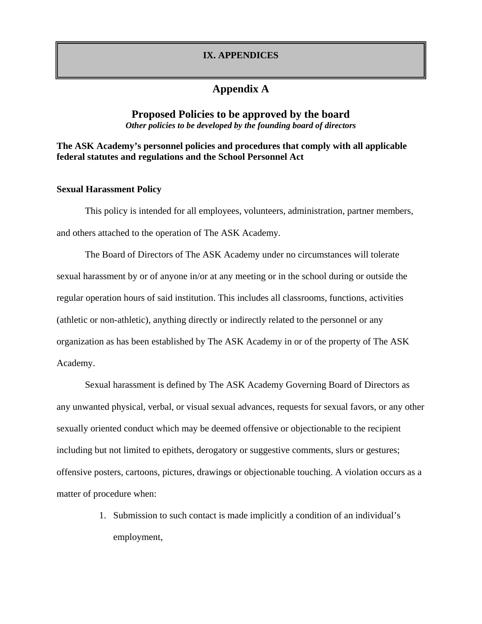### **IX. APPENDICES**

# **Appendix A**

### **Proposed Policies to be approved by the board**  *Other policies to be developed by the founding board of directors*

# **The ASK Academy's personnel policies and procedures that comply with all applicable federal statutes and regulations and the School Personnel Act**

### **Sexual Harassment Policy**

This policy is intended for all employees, volunteers, administration, partner members, and others attached to the operation of The ASK Academy.

The Board of Directors of The ASK Academy under no circumstances will tolerate sexual harassment by or of anyone in/or at any meeting or in the school during or outside the regular operation hours of said institution. This includes all classrooms, functions, activities (athletic or non-athletic), anything directly or indirectly related to the personnel or any organization as has been established by The ASK Academy in or of the property of The ASK Academy.

Sexual harassment is defined by The ASK Academy Governing Board of Directors as any unwanted physical, verbal, or visual sexual advances, requests for sexual favors, or any other sexually oriented conduct which may be deemed offensive or objectionable to the recipient including but not limited to epithets, derogatory or suggestive comments, slurs or gestures; offensive posters, cartoons, pictures, drawings or objectionable touching. A violation occurs as a matter of procedure when:

> 1. Submission to such contact is made implicitly a condition of an individual's employment,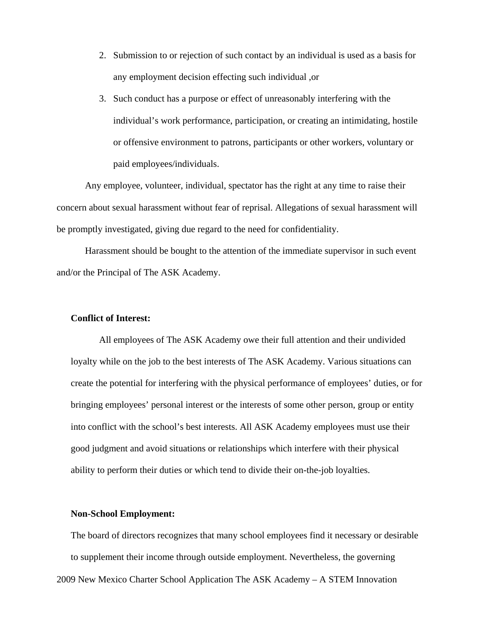- 2. Submission to or rejection of such contact by an individual is used as a basis for any employment decision effecting such individual ,or
- 3. Such conduct has a purpose or effect of unreasonably interfering with the individual's work performance, participation, or creating an intimidating, hostile or offensive environment to patrons, participants or other workers, voluntary or paid employees/individuals.

Any employee, volunteer, individual, spectator has the right at any time to raise their concern about sexual harassment without fear of reprisal. Allegations of sexual harassment will be promptly investigated, giving due regard to the need for confidentiality.

Harassment should be bought to the attention of the immediate supervisor in such event and/or the Principal of The ASK Academy.

#### **Conflict of Interest:**

All employees of The ASK Academy owe their full attention and their undivided loyalty while on the job to the best interests of The ASK Academy. Various situations can create the potential for interfering with the physical performance of employees' duties, or for bringing employees' personal interest or the interests of some other person, group or entity into conflict with the school's best interests. All ASK Academy employees must use their good judgment and avoid situations or relationships which interfere with their physical ability to perform their duties or which tend to divide their on-the-job loyalties.

#### **Non-School Employment:**

2009 New Mexico Charter School Application The ASK Academy – A STEM Innovation The board of directors recognizes that many school employees find it necessary or desirable to supplement their income through outside employment. Nevertheless, the governing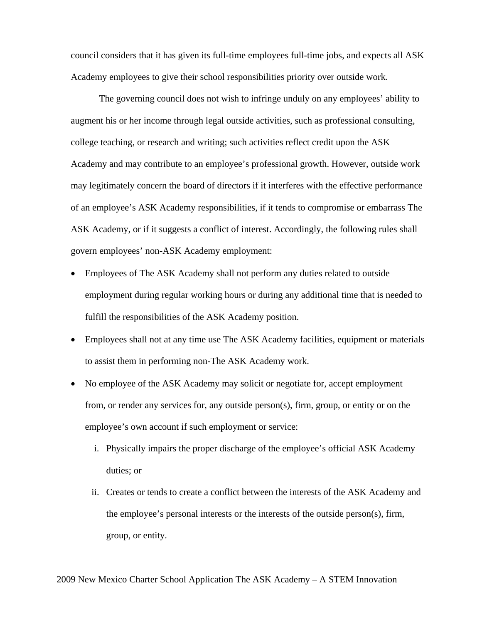council considers that it has given its full-time employees full-time jobs, and expects all ASK Academy employees to give their school responsibilities priority over outside work.

The governing council does not wish to infringe unduly on any employees' ability to augment his or her income through legal outside activities, such as professional consulting, college teaching, or research and writing; such activities reflect credit upon the ASK Academy and may contribute to an employee's professional growth. However, outside work may legitimately concern the board of directors if it interferes with the effective performance of an employee's ASK Academy responsibilities, if it tends to compromise or embarrass The ASK Academy, or if it suggests a conflict of interest. Accordingly, the following rules shall govern employees' non-ASK Academy employment:

- Employees of The ASK Academy shall not perform any duties related to outside employment during regular working hours or during any additional time that is needed to fulfill the responsibilities of the ASK Academy position.
- Employees shall not at any time use The ASK Academy facilities, equipment or materials to assist them in performing non-The ASK Academy work.
- No employee of the ASK Academy may solicit or negotiate for, accept employment from, or render any services for, any outside person(s), firm, group, or entity or on the employee's own account if such employment or service:
	- i. Physically impairs the proper discharge of the employee's official ASK Academy duties; or
	- ii. Creates or tends to create a conflict between the interests of the ASK Academy and the employee's personal interests or the interests of the outside person(s), firm, group, or entity.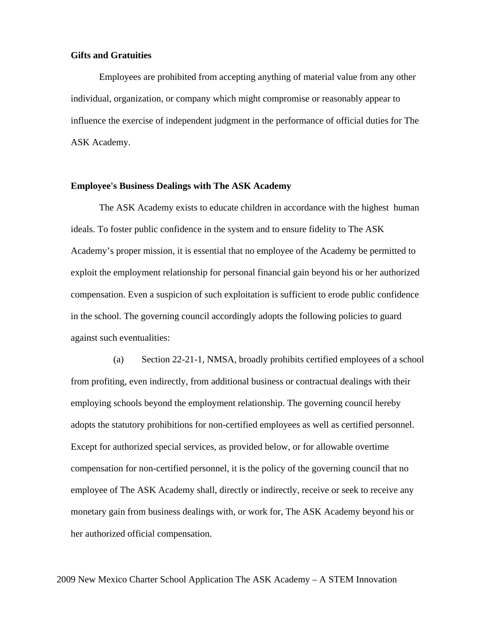### **Gifts and Gratuities**

Employees are prohibited from accepting anything of material value from any other individual, organization, or company which might compromise or reasonably appear to influence the exercise of independent judgment in the performance of official duties for The ASK Academy.

### **Employee's Business Dealings with The ASK Academy**

The ASK Academy exists to educate children in accordance with the highest human ideals. To foster public confidence in the system and to ensure fidelity to The ASK Academy's proper mission, it is essential that no employee of the Academy be permitted to exploit the employment relationship for personal financial gain beyond his or her authorized compensation. Even a suspicion of such exploitation is sufficient to erode public confidence in the school. The governing council accordingly adopts the following policies to guard against such eventualities:

 (a) Section 22-21-1, NMSA, broadly prohibits certified employees of a school from profiting, even indirectly, from additional business or contractual dealings with their employing schools beyond the employment relationship. The governing council hereby adopts the statutory prohibitions for non-certified employees as well as certified personnel. Except for authorized special services, as provided below, or for allowable overtime compensation for non-certified personnel, it is the policy of the governing council that no employee of The ASK Academy shall, directly or indirectly, receive or seek to receive any monetary gain from business dealings with, or work for, The ASK Academy beyond his or her authorized official compensation.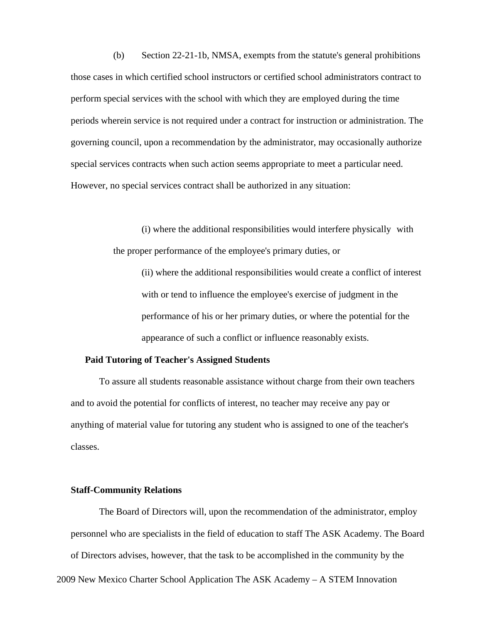(b) Section 22-21-1b, NMSA, exempts from the statute's general prohibitions those cases in which certified school instructors or certified school administrators contract to perform special services with the school with which they are employed during the time periods wherein service is not required under a contract for instruction or administration. The governing council, upon a recommendation by the administrator, may occasionally authorize special services contracts when such action seems appropriate to meet a particular need. However, no special services contract shall be authorized in any situation:

> (i) where the additional responsibilities would interfere physically with the proper performance of the employee's primary duties, or

 (ii) where the additional responsibilities would create a conflict of interest with or tend to influence the employee's exercise of judgment in the performance of his or her primary duties, or where the potential for the appearance of such a conflict or influence reasonably exists.

### **Paid Tutoring of Teacher's Assigned Students**

To assure all students reasonable assistance without charge from their own teachers and to avoid the potential for conflicts of interest, no teacher may receive any pay or anything of material value for tutoring any student who is assigned to one of the teacher's classes.

### **Staff-Community Relations**

2009 New Mexico Charter School Application The ASK Academy – A STEM Innovation The Board of Directors will, upon the recommendation of the administrator, employ personnel who are specialists in the field of education to staff The ASK Academy. The Board of Directors advises, however, that the task to be accomplished in the community by the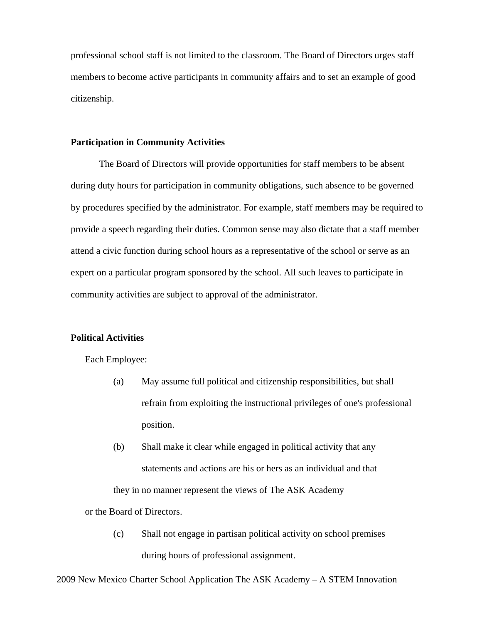professional school staff is not limited to the classroom. The Board of Directors urges staff members to become active participants in community affairs and to set an example of good citizenship.

### **Participation in Community Activities**

The Board of Directors will provide opportunities for staff members to be absent during duty hours for participation in community obligations, such absence to be governed by procedures specified by the administrator. For example, staff members may be required to provide a speech regarding their duties. Common sense may also dictate that a staff member attend a civic function during school hours as a representative of the school or serve as an expert on a particular program sponsored by the school. All such leaves to participate in community activities are subject to approval of the administrator.

### **Political Activities**

Each Employee:

- (a) May assume full political and citizenship responsibilities, but shall refrain from exploiting the instructional privileges of one's professional position.
- (b) Shall make it clear while engaged in political activity that any statements and actions are his or hers as an individual and that they in no manner represent the views of The ASK Academy

or the Board of Directors.

 (c) Shall not engage in partisan political activity on school premises during hours of professional assignment.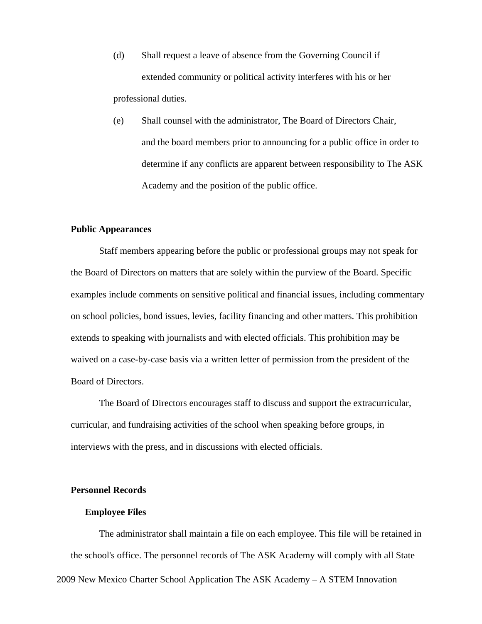- (d) Shall request a leave of absence from the Governing Council if extended community or political activity interferes with his or her professional duties.
- (e) Shall counsel with the administrator, The Board of Directors Chair, and the board members prior to announcing for a public office in order to determine if any conflicts are apparent between responsibility to The ASK Academy and the position of the public office.

### **Public Appearances**

Staff members appearing before the public or professional groups may not speak for the Board of Directors on matters that are solely within the purview of the Board. Specific examples include comments on sensitive political and financial issues, including commentary on school policies, bond issues, levies, facility financing and other matters. This prohibition extends to speaking with journalists and with elected officials. This prohibition may be waived on a case-by-case basis via a written letter of permission from the president of the Board of Directors.

The Board of Directors encourages staff to discuss and support the extracurricular, curricular, and fundraising activities of the school when speaking before groups, in interviews with the press, and in discussions with elected officials.

### **Personnel Records**

### **Employee Files**

2009 New Mexico Charter School Application The ASK Academy – A STEM Innovation The administrator shall maintain a file on each employee. This file will be retained in the school's office. The personnel records of The ASK Academy will comply with all State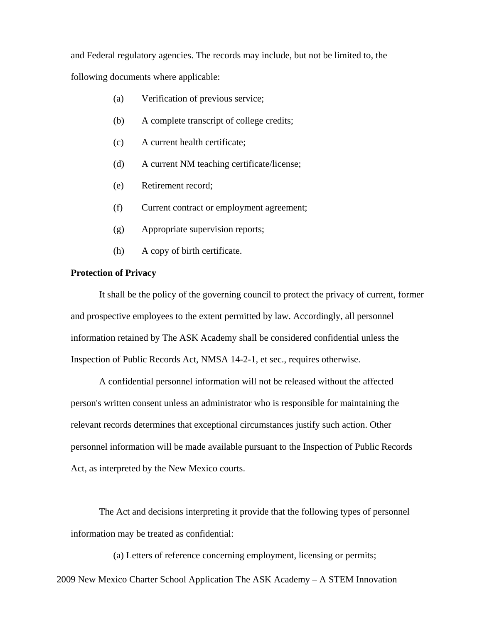and Federal regulatory agencies. The records may include, but not be limited to, the following documents where applicable:

- (a) Verification of previous service;
- (b) A complete transcript of college credits;
- (c) A current health certificate;
- (d) A current NM teaching certificate/license;
- (e) Retirement record;
- (f) Current contract or employment agreement;
- (g) Appropriate supervision reports;
- (h) A copy of birth certificate.

### **Protection of Privacy**

It shall be the policy of the governing council to protect the privacy of current, former and prospective employees to the extent permitted by law. Accordingly, all personnel information retained by The ASK Academy shall be considered confidential unless the Inspection of Public Records Act, NMSA 14-2-1, et sec., requires otherwise.

A confidential personnel information will not be released without the affected person's written consent unless an administrator who is responsible for maintaining the relevant records determines that exceptional circumstances justify such action. Other personnel information will be made available pursuant to the Inspection of Public Records Act, as interpreted by the New Mexico courts.

The Act and decisions interpreting it provide that the following types of personnel information may be treated as confidential:

(a) Letters of reference concerning employment, licensing or permits;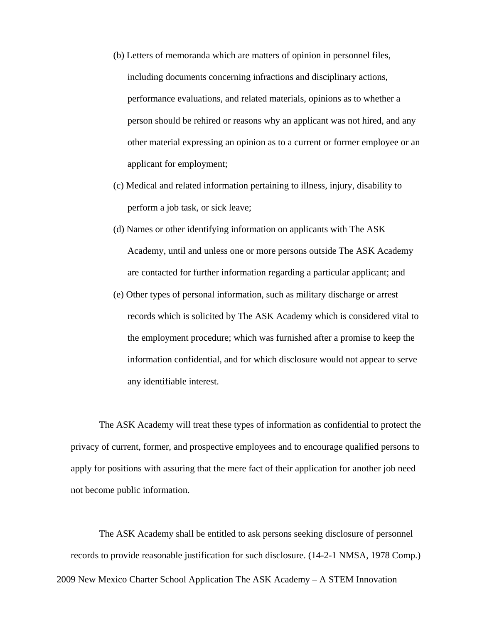- (b) Letters of memoranda which are matters of opinion in personnel files, including documents concerning infractions and disciplinary actions, performance evaluations, and related materials, opinions as to whether a person should be rehired or reasons why an applicant was not hired, and any other material expressing an opinion as to a current or former employee or an applicant for employment;
- (c) Medical and related information pertaining to illness, injury, disability to perform a job task, or sick leave;
- (d) Names or other identifying information on applicants with The ASK Academy, until and unless one or more persons outside The ASK Academy are contacted for further information regarding a particular applicant; and
- (e) Other types of personal information, such as military discharge or arrest records which is solicited by The ASK Academy which is considered vital to the employment procedure; which was furnished after a promise to keep the information confidential, and for which disclosure would not appear to serve any identifiable interest.

The ASK Academy will treat these types of information as confidential to protect the privacy of current, former, and prospective employees and to encourage qualified persons to apply for positions with assuring that the mere fact of their application for another job need not become public information.

2009 New Mexico Charter School Application The ASK Academy – A STEM Innovation The ASK Academy shall be entitled to ask persons seeking disclosure of personnel records to provide reasonable justification for such disclosure. (14-2-1 NMSA, 1978 Comp.)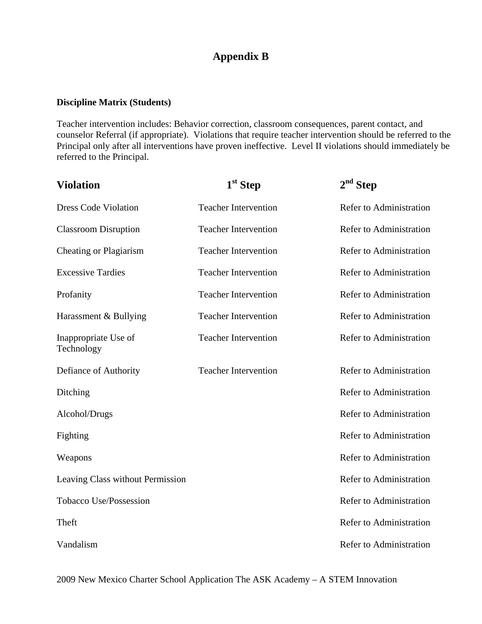# **Appendix B**

# **Discipline Matrix (Students)**

Teacher intervention includes: Behavior correction, classroom consequences, parent contact, and counselor Referral (if appropriate). Violations that require teacher intervention should be referred to the Principal only after all interventions have proven ineffective. Level II violations should immediately be referred to the Principal.

| <b>Violation</b>                   | $1st$ Step                  | $2nd$ Step                     |
|------------------------------------|-----------------------------|--------------------------------|
| <b>Dress Code Violation</b>        | <b>Teacher Intervention</b> | Refer to Administration        |
| <b>Classroom Disruption</b>        | <b>Teacher Intervention</b> | Refer to Administration        |
| Cheating or Plagiarism             | <b>Teacher Intervention</b> | Refer to Administration        |
| <b>Excessive Tardies</b>           | <b>Teacher Intervention</b> | Refer to Administration        |
| Profanity                          | <b>Teacher Intervention</b> | Refer to Administration        |
| Harassment & Bullying              | <b>Teacher Intervention</b> | Refer to Administration        |
| Inappropriate Use of<br>Technology | <b>Teacher Intervention</b> | Refer to Administration        |
| Defiance of Authority              | <b>Teacher Intervention</b> | Refer to Administration        |
| Ditching                           |                             | Refer to Administration        |
| Alcohol/Drugs                      |                             | Refer to Administration        |
| Fighting                           |                             | Refer to Administration        |
| Weapons                            |                             | Refer to Administration        |
| Leaving Class without Permission   |                             | Refer to Administration        |
| Tobacco Use/Possession             |                             | <b>Refer to Administration</b> |
| Theft                              |                             | Refer to Administration        |
| Vandalism                          |                             | Refer to Administration        |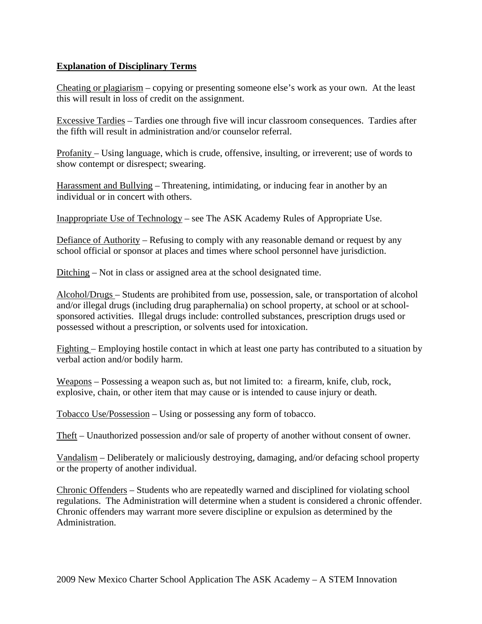# **Explanation of Disciplinary Terms**

Cheating or plagiarism – copying or presenting someone else's work as your own. At the least this will result in loss of credit on the assignment.

Excessive Tardies – Tardies one through five will incur classroom consequences. Tardies after the fifth will result in administration and/or counselor referral.

Profanity – Using language, which is crude, offensive, insulting, or irreverent; use of words to show contempt or disrespect; swearing.

Harassment and Bullying – Threatening, intimidating, or inducing fear in another by an individual or in concert with others.

Inappropriate Use of Technology – see The ASK Academy Rules of Appropriate Use.

Defiance of Authority – Refusing to comply with any reasonable demand or request by any school official or sponsor at places and times where school personnel have jurisdiction.

Ditching – Not in class or assigned area at the school designated time.

Alcohol/Drugs – Students are prohibited from use, possession, sale, or transportation of alcohol and/or illegal drugs (including drug paraphernalia) on school property, at school or at schoolsponsored activities. Illegal drugs include: controlled substances, prescription drugs used or possessed without a prescription, or solvents used for intoxication.

Fighting – Employing hostile contact in which at least one party has contributed to a situation by verbal action and/or bodily harm.

Weapons – Possessing a weapon such as, but not limited to: a firearm, knife, club, rock, explosive, chain, or other item that may cause or is intended to cause injury or death.

Tobacco Use/Possession – Using or possessing any form of tobacco.

Theft – Unauthorized possession and/or sale of property of another without consent of owner.

Vandalism – Deliberately or maliciously destroying, damaging, and/or defacing school property or the property of another individual.

Chronic Offenders – Students who are repeatedly warned and disciplined for violating school regulations. The Administration will determine when a student is considered a chronic offender. Chronic offenders may warrant more severe discipline or expulsion as determined by the Administration.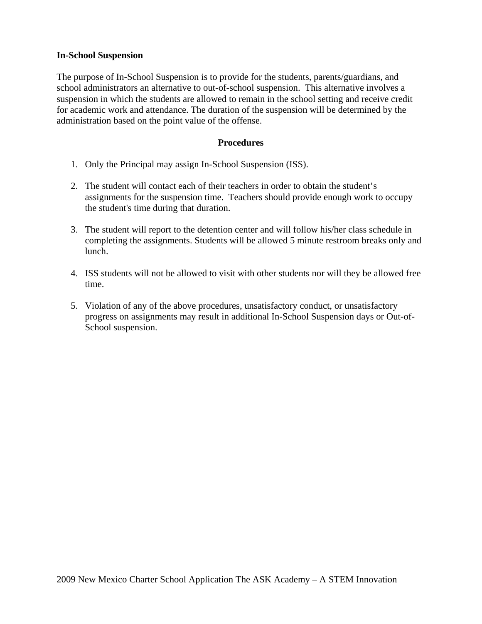### **In-School Suspension**

The purpose of In-School Suspension is to provide for the students, parents/guardians, and school administrators an alternative to out-of-school suspension. This alternative involves a suspension in which the students are allowed to remain in the school setting and receive credit for academic work and attendance. The duration of the suspension will be determined by the administration based on the point value of the offense.

### **Procedures**

- 1. Only the Principal may assign In-School Suspension (ISS).
- 2. The student will contact each of their teachers in order to obtain the student's assignments for the suspension time. Teachers should provide enough work to occupy the student's time during that duration.
- 3. The student will report to the detention center and will follow his/her class schedule in completing the assignments. Students will be allowed 5 minute restroom breaks only and lunch.
- 4. ISS students will not be allowed to visit with other students nor will they be allowed free time.
- 5. Violation of any of the above procedures, unsatisfactory conduct, or unsatisfactory progress on assignments may result in additional In-School Suspension days or Out-of-School suspension.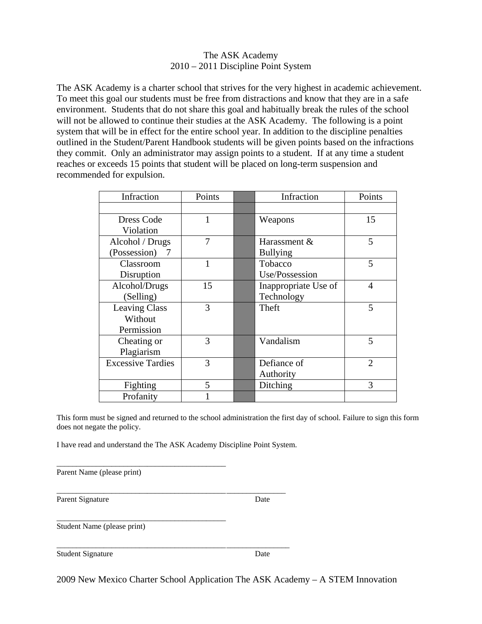### The ASK Academy 2010 – 2011 Discipline Point System

The ASK Academy is a charter school that strives for the very highest in academic achievement. To meet this goal our students must be free from distractions and know that they are in a safe environment. Students that do not share this goal and habitually break the rules of the school will not be allowed to continue their studies at the ASK Academy. The following is a point system that will be in effect for the entire school year. In addition to the discipline penalties outlined in the Student/Parent Handbook students will be given points based on the infractions they commit. Only an administrator may assign points to a student. If at any time a student reaches or exceeds 15 points that student will be placed on long-term suspension and recommended for expulsion.

| Infraction               | Points | Infraction           | Points         |
|--------------------------|--------|----------------------|----------------|
|                          |        |                      |                |
| Dress Code               |        | Weapons              | 15             |
| Violation                |        |                      |                |
| Alcohol / Drugs          | 7      | Harassment &         | 5              |
| (Possession) 7           |        | <b>Bullying</b>      |                |
| Classroom                |        | Tobacco              | 5              |
| Disruption               |        | Use/Possession       |                |
| Alcohol/Drugs            | 15     | Inappropriate Use of | $\overline{4}$ |
| (Selling)                |        | Technology           |                |
| <b>Leaving Class</b>     | 3      | Theft                | 5              |
| Without                  |        |                      |                |
| Permission               |        |                      |                |
| Cheating or              | 3      | Vandalism            | 5              |
| Plagiarism               |        |                      |                |
| <b>Excessive Tardies</b> | 3      | Defiance of          | $\overline{2}$ |
|                          |        | Authority            |                |
| Fighting                 | 5      | Ditching             | 3              |
| Profanity                |        |                      |                |

This form must be signed and returned to the school administration the first day of school. Failure to sign this form does not negate the policy.

I have read and understand the The ASK Academy Discipline Point System.

\_\_\_\_\_\_\_\_\_\_\_\_\_\_\_\_\_\_\_\_\_\_\_\_\_\_\_\_\_\_\_\_\_\_\_\_\_\_\_\_\_\_\_ \_\_\_\_\_\_\_\_\_\_\_\_\_\_\_

\_\_\_\_\_\_\_\_\_\_\_\_\_\_\_\_\_\_\_\_\_\_\_\_\_\_\_\_\_\_\_\_\_\_\_\_\_\_\_\_\_\_\_ \_\_\_\_\_\_\_\_\_\_\_\_\_\_\_\_

\_\_\_\_\_\_\_\_\_\_\_\_\_\_\_\_\_\_\_\_\_\_\_\_\_\_\_\_\_\_\_\_\_\_\_\_\_\_\_\_\_\_\_

| Parent Name (please print) |  |
|----------------------------|--|

Parent Signature Date

Student Name (please print)

Student Signature Date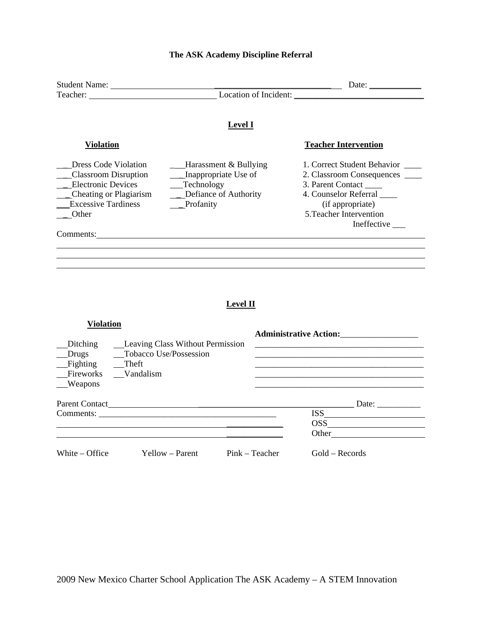| Student Name:                                                                                                                                     |                                                                                                          | Date: $\sqrt{\frac{2}{1-\frac{1}{2}} \cdot \frac{2}{1-\frac{1}{2}} \cdot \frac{2}{1-\frac{1}{2}} \cdot \frac{2}{1-\frac{1}{2}}}$                      |
|---------------------------------------------------------------------------------------------------------------------------------------------------|----------------------------------------------------------------------------------------------------------|-------------------------------------------------------------------------------------------------------------------------------------------------------|
|                                                                                                                                                   |                                                                                                          | Location of Incident:                                                                                                                                 |
|                                                                                                                                                   | <b>Level I</b>                                                                                           |                                                                                                                                                       |
| Violation                                                                                                                                         |                                                                                                          | <b>Teacher Intervention</b>                                                                                                                           |
| Dress Code Violation<br><b>Classroom Disruption</b><br><b>Electronic Devices</b><br>Cheating or Plagiarism<br><b>Excessive Tardiness</b><br>Other | Harassment & Bullying<br>$\Box$ Inappropriate Use of<br>Technology<br>Defiance of Authority<br>Profanity | 1. Correct Student Behavior<br>2. Classroom Consequences<br>3. Parent Contact<br>4. Counselor Referral<br>(if appropriate)<br>5. Teacher Intervention |
| Comments:                                                                                                                                         |                                                                                                          | Ineffective                                                                                                                                           |

# **The ASK Academy Discipline Referral**

# **Level II**

| <b>Violation</b>                                                               |                                                                   |                | <b>Administrative Action:</b> |
|--------------------------------------------------------------------------------|-------------------------------------------------------------------|----------------|-------------------------------|
| <b>Ditching</b><br>Drugs<br>Fighting Theft<br>Fireworks Vandalism<br>__Weapons | <b>Leaving Class Without Permission</b><br>Tobacco Use/Possession |                |                               |
|                                                                                |                                                                   |                | Date:                         |
|                                                                                |                                                                   |                | <b>ISS</b>                    |
|                                                                                |                                                                   |                | $\overline{\text{OSS}}$       |
|                                                                                |                                                                   |                | Other                         |
| White – Office                                                                 | Yellow – Parent                                                   | Pink – Teacher | $Gold - Records$              |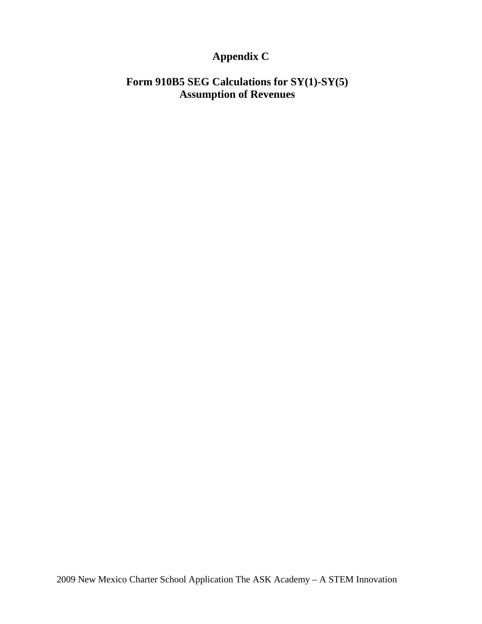# **Appendix C**

# **Form 910B5 SEG Calculations for SY(1)-SY(5) Assumption of Revenues**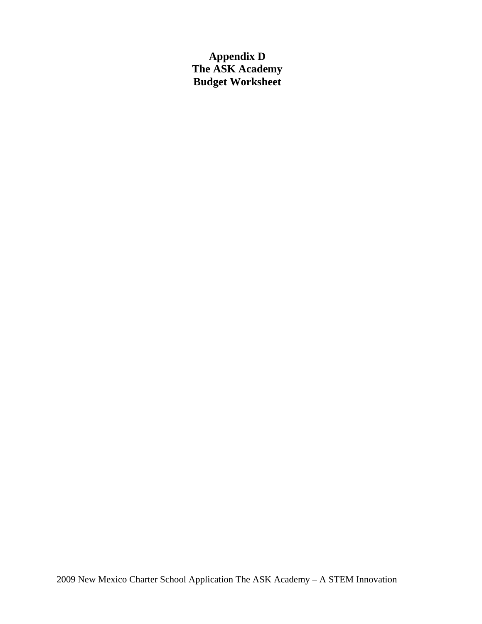**Appendix D The ASK Academy Budget Worksheet**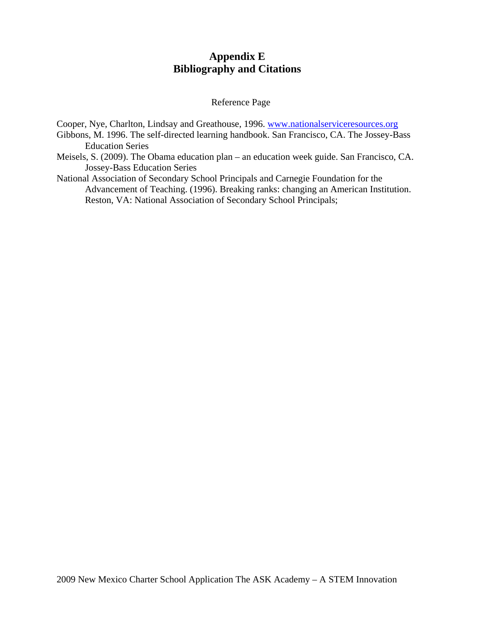# **Appendix E Bibliography and Citations**

### Reference Page

Cooper, Nye, Charlton, Lindsay and Greathouse, 1996. www.nationalserviceresources.org

- Gibbons, M. 1996. The self-directed learning handbook. San Francisco, CA. The Jossey-Bass Education Series
- Meisels, S. (2009). The Obama education plan an education week guide. San Francisco, CA. Jossey-Bass Education Series
- National Association of Secondary School Principals and Carnegie Foundation for the Advancement of Teaching. (1996). Breaking ranks: changing an American Institution. Reston, VA: National Association of Secondary School Principals;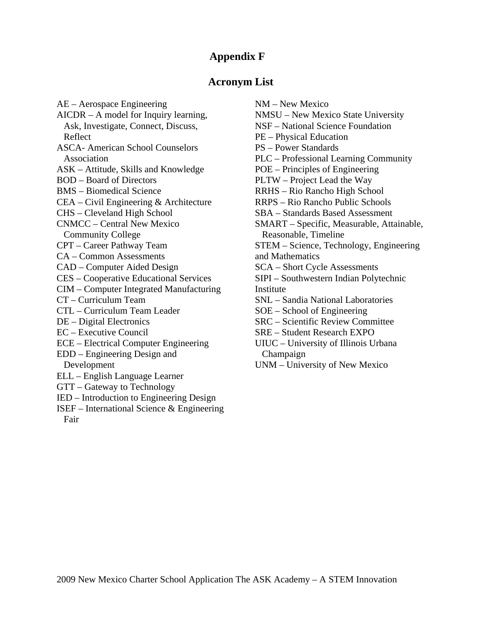# **Appendix F**

# **Acronym List**

AE – Aerospace Engineering AICDR – A model for Inquiry learning, Ask, Investigate, Connect, Discuss, Reflect ASCA- American School Counselors Association ASK – Attitude, Skills and Knowledge BOD – Board of Directors BMS – Biomedical Science CEA – Civil Engineering & Architecture CHS – Cleveland High School CNMCC – Central New Mexico Community College CPT – Career Pathway Team CA – Common Assessments CAD – Computer Aided Design CES – Cooperative Educational Services CIM – Computer Integrated Manufacturing CT – Curriculum Team CTL – Curriculum Team Leader DE – Digital Electronics EC – Executive Council ECE – Electrical Computer Engineering EDD – Engineering Design and Development ELL – English Language Learner GTT – Gateway to Technology IED – Introduction to Engineering Design

ISEF – International Science & Engineering Fair

NM – New Mexico NMSU – New Mexico State University NSF – National Science Foundation PE – Physical Education PS – Power Standards PLC – Professional Learning Community POE – Principles of Engineering PLTW – Project Lead the Way RRHS – Rio Rancho High School RRPS – Rio Rancho Public Schools SBA – Standards Based Assessment SMART – Specific, Measurable, Attainable, Reasonable, Timeline STEM – Science, Technology, Engineering and Mathematics SCA – Short Cycle Assessments SIPI – Southwestern Indian Polytechnic Institute SNL – Sandia National Laboratories SOE – School of Engineering SRC – Scientific Review Committee SRE – Student Research EXPO UIUC – University of Illinois Urbana Champaign UNM – University of New Mexico